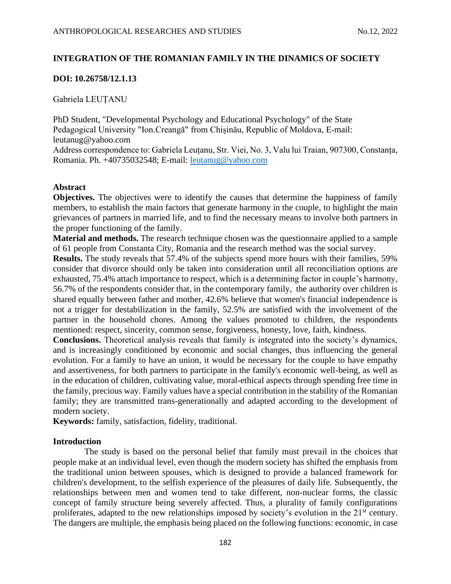# **INTEGRATION OF THE ROMANIAN FAMILY IN THE DINAMICS OF SOCIETY**

# **DOI: 10.26758/12.1.13**

Gabriela LEUȚANU

PhD Student, "Developmental Psychology and Educational Psychology" of the State Pedagogical University "Ion.Creangă" from Chișinău, Republic of Moldova, E-mail: [leutanug@yahoo.com](mailto:LEUTANUG@YAHOO.COM) Address correspondence to: Gabriela Leuțanu, Str. Viei, No. 3, Valu lui Traian, 907300, Constanța, Romania. Ph. +40735032548; E-mail: [leutanug@yahoo.com](mailto:leutanug@yahoo.com)

## **Abstract**

**Objectives.** The objectives were to identify the causes that determine the happiness of family members, to establish the main factors that generate harmony in the couple, to highlight the main grievances of partners in married life, and to find the necessary means to involve both partners in the proper functioning of the family.

**Material and methods.** The research technique chosen was the questionnaire applied to a sample of 61 people from Constanta City, Romania and the research method was the social survey.

**Results.** The study reveals that 57.4% of the subjects spend more hours with their families, 59% consider that divorce should only be taken into consideration until all reconciliation options are exhausted, 75.4% attach importance to respect, which is a determining factor in couple's harmony, 56.7% of the respondents consider that, in the contemporary family, the authority over children is shared equally between father and mother, 42.6% believe that women's financial independence is not a trigger for destabilization in the family, 52.5% are satisfied with the involvement of the partner in the household chores. Among the values promoted to children, the respondents mentioned: respect, sincerity, common sense, forgiveness, honesty, love, faith, kindness.

**Conclusions.** Theoretical analysis reveals that family is integrated into the society's dynamics, and is increasingly conditioned by economic and social changes, thus influencing the general evolution. For a family to have an union, it would be necessary for the couple to have empathy and assertiveness, for both partners to participate in the family's economic well-being, as well as in the education of children, cultivating value, moral-ethical aspects through spending free time in the family, precious way. Family values have a special contribution in the stability of the Romanian family; they are transmitted trans-generationally and adapted according to the development of modern society.

**Keywords:** family, satisfaction, fidelity, traditional.

## **Introduction**

The study is based on the personal belief that family must prevail in the choices that people make at an individual level, even though the modern society has shifted the emphasis from the traditional union between spouses, which is designed to provide a balanced framework for children's development, to the selfish experience of the pleasures of daily life. Subsequently, the relationships between men and women tend to take different, non-nuclear forms, the classic concept of family structure being severely affected. Thus, a plurality of family configurations proliferates, adapted to the new relationships imposed by society's evolution in the 21<sup>st</sup> century. The dangers are multiple, the emphasis being placed on the following functions: economic, in case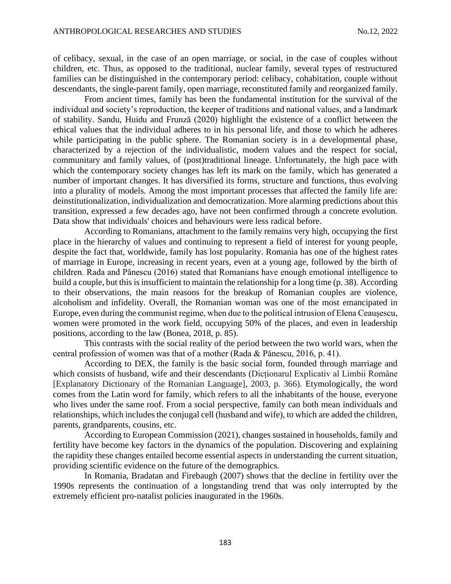of celibacy, sexual, in the case of an open marriage, or social, in the case of couples without children, etc. Thus, as opposed to the traditional, nuclear family, several types of restructured families can be distinguished in the contemporary period: celibacy, cohabitation, couple without descendants, the single-parent family, open marriage, reconstituted family and reorganized family.

From ancient times, family has been the fundamental institution for the survival of the individual and society's reproduction, the keeper of traditions and national values, and a landmark of stability. Sandu, Huidu and Frunză (2020) highlight the existence of a conflict between the ethical values that the individual adheres to in his personal life, and those to which he adheres while participating in the public sphere. The Romanian society is in a developmental phase, characterized by a rejection of the individualistic, modern values and the respect for social, communitary and family values, of (post)traditional lineage. Unfortunately, the high pace with which the contemporary society changes has left its mark on the family, which has generated a number of important changes. It has diversified its forms, structure and functions, thus evolving into a plurality of models. Among the most important processes that affected the family life are: deinstitutionalization, individualization and democratization. More alarming predictions about this transition, expressed a few decades ago, have not been confirmed through a concrete evolution. Data show that individuals' choices and behaviours were less radical before.

According to Romanians, attachment to the family remains very high, occupying the first place in the hierarchy of values and continuing to represent a field of interest for young people, despite the fact that, worldwide, family has lost popularity. Romania has one of the highest rates of marriage in Europe, increasing in recent years, even at a young age, followed by the birth of children. Rada and Pănescu (2016) stated that Romanians have enough emotional intelligence to build a couple, but this is insufficient to maintain the relationship for a long time (p. 38). According to their observations, the main reasons for the breakup of Romanian couples are violence, alcoholism and infidelity. Overall, the Romanian woman was one of the most emancipated in Europe, even during the communist regime, when due to the political intrusion of Elena Ceaușescu, women were promoted in the work field, occupying 50% of the places, and even in leadership positions, according to the law (Bonea, 2018, p. 85).

This contrasts with the social reality of the period between the two world wars, when the central profession of women was that of a mother (Rada & Pănescu, 2016, p. 41).

According to DEX, the family is the basic social form, founded through marriage and which consists of husband, wife and their descendants (Dicționarul Explicativ al Limbii Române [Explanatory Dictionary of the Romanian Language], 2003, p. 366). Etymologically, the word comes from the Latin word for family, which refers to all the inhabitants of the house, everyone who lives under the same roof. From a social perspective, family can both mean individuals and relationships, which includes the conjugal cell (husband and wife), to which are added the children, parents, grandparents, cousins, etc.

According to European Commission (2021), changes sustained in households, family and fertility have become key factors in the dynamics of the population. Discovering and explaining the rapidity these changes entailed become essential aspects in understanding the current situation, providing scientific evidence on the future of the demographics.

In Romania, Bradatan and Firebaugh (2007) shows that the decline in fertility over the 1990s represents the continuation of a longstanding trend that was only interrupted by the extremely efficient pro-natalist policies inaugurated in the 1960s.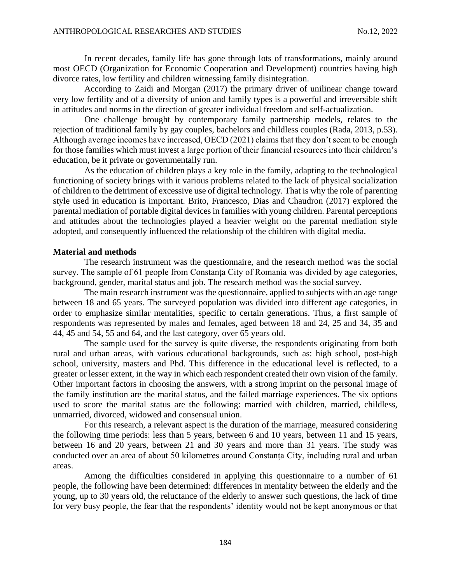In recent decades, family life has gone through lots of transformations, mainly around most OECD (Organization for Economic Cooperation and Development) countries having high divorce rates, low fertility and children witnessing family disintegration.

According to Zaidi and Morgan (2017) the primary driver of unilinear change toward very low fertility and of a diversity of union and family types is a powerful and irreversible shift in attitudes and norms in the direction of greater individual freedom and self-actualization.

One challenge brought by contemporary family partnership models, relates to the rejection of traditional family by gay couples, bachelors and childless couples (Rada, 2013, p.53). Although average incomes have increased, OECD (2021) claims that they don't seem to be enough for those families which must invest a large portion of their financial resources into their children's education, be it private or governmentally run.

As the education of children plays a key role in the family, adapting to the technological functioning of society brings with it various problems related to the lack of physical socialization of children to the detriment of excessive use of digital technology. That is why the role of parenting style used in education is important. Brito, Francesco, Dias and Chaudron (2017) explored the parental mediation of portable digital devices in families with young children. Parental perceptions and attitudes about the technologies played a heavier weight on the parental mediation style adopted, and consequently influenced the relationship of the children with digital media.

### **Material and methods**

The research instrument was the questionnaire, and the research method was the social survey. The sample of 61 people from Constanta City of Romania was divided by age categories, background, gender, marital status and job. The research method was the social survey.

The main research instrument was the questionnaire, applied to subjects with an age range between 18 and 65 years. The surveyed population was divided into different age categories, in order to emphasize similar mentalities, specific to certain generations. Thus, a first sample of respondents was represented by males and females, aged between 18 and 24, 25 and 34, 35 and 44, 45 and 54, 55 and 64, and the last category, over 65 years old.

The sample used for the survey is quite diverse, the respondents originating from both rural and urban areas, with various educational backgrounds, such as: high school, post-high school, university, masters and Phd. This difference in the educational level is reflected, to a greater or lesser extent, in the way in which each respondent created their own vision of the family. Other important factors in choosing the answers, with a strong imprint on the personal image of the family institution are the marital status, and the failed marriage experiences. The six options used to score the marital status are the following: married with children, married, childless, unmarried, divorced, widowed and consensual union.

For this research, a relevant aspect is the duration of the marriage, measured considering the following time periods: less than 5 years, between 6 and 10 years, between 11 and 15 years, between 16 and 20 years, between 21 and 30 years and more than 31 years. The study was conducted over an area of about 50 kilometres around Constanța City, including rural and urban areas.

Among the difficulties considered in applying this questionnaire to a number of 61 people, the following have been determined: differences in mentality between the elderly and the young, up to 30 years old, the reluctance of the elderly to answer such questions, the lack of time for very busy people, the fear that the respondents' identity would not be kept anonymous or that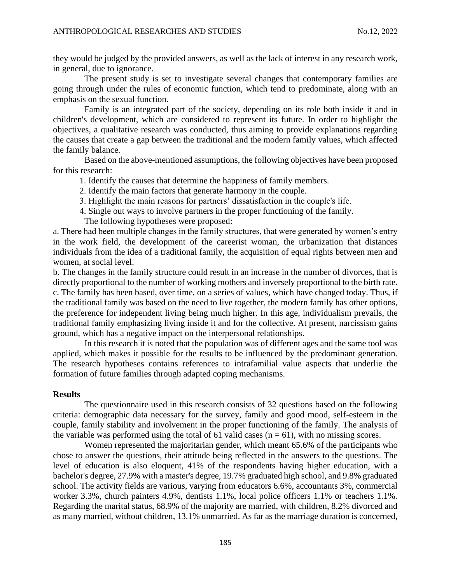they would be judged by the provided answers, as well as the lack of interest in any research work, in general, due to ignorance.

The present study is set to investigate several changes that contemporary families are going through under the rules of economic function, which tend to predominate, along with an emphasis on the sexual function.

Family is an integrated part of the society, depending on its role both inside it and in children's development, which are considered to represent its future. In order to highlight the objectives, a qualitative research was conducted, thus aiming to provide explanations regarding the causes that create a gap between the traditional and the modern family values, which affected the family balance.

Based on the above-mentioned assumptions, the following objectives have been proposed for this research:

- 1. Identify the causes that determine the happiness of family members.
- 2. Identify the main factors that generate harmony in the couple.
- 3. Highlight the main reasons for partners' dissatisfaction in the couple's life.
- 4. Single out ways to involve partners in the proper functioning of the family.
	- The following hypotheses were proposed:

a. There had been multiple changes in the family structures, that were generated by women's entry in the work field, the development of the careerist woman, the urbanization that distances individuals from the idea of a traditional family, the acquisition of equal rights between men and women, at social level.

b. The changes in the family structure could result in an increase in the number of divorces, that is directly proportional to the number of working mothers and inversely proportional to the birth rate. c. The family has been based, over time, on a series of values, which have changed today. Thus, if the traditional family was based on the need to live together, the modern family has other options, the preference for independent living being much higher. In this age, individualism prevails, the traditional family emphasizing living inside it and for the collective. At present, narcissism gains ground, which has a negative impact on the interpersonal relationships.

In this research it is noted that the population was of different ages and the same tool was applied, which makes it possible for the results to be influenced by the predominant generation. The research hypotheses contains references to intrafamilial value aspects that underlie the formation of future families through adapted coping mechanisms.

# **Results**

The questionnaire used in this research consists of 32 questions based on the following criteria: demographic data necessary for the survey, family and good mood, self-esteem in the couple, family stability and involvement in the proper functioning of the family. The analysis of the variable was performed using the total of 61 valid cases ( $n = 61$ ), with no missing scores.

Women represented the majoritarian gender, which meant 65.6% of the participants who chose to answer the questions, their attitude being reflected in the answers to the questions. The level of education is also eloquent, 41% of the respondents having higher education, with a bachelor's degree, 27.9% with a master's degree, 19.7% graduated high school, and 9.8% graduated school. The activity fields are various, varying from educators 6.6%, accountants 3%, commercial worker 3.3%, church painters 4.9%, dentists 1.1%, local police officers 1.1% or teachers 1.1%. Regarding the marital status, 68.9% of the majority are married, with children, 8.2% divorced and as many married, without children, 13.1% unmarried. As far as the marriage duration is concerned,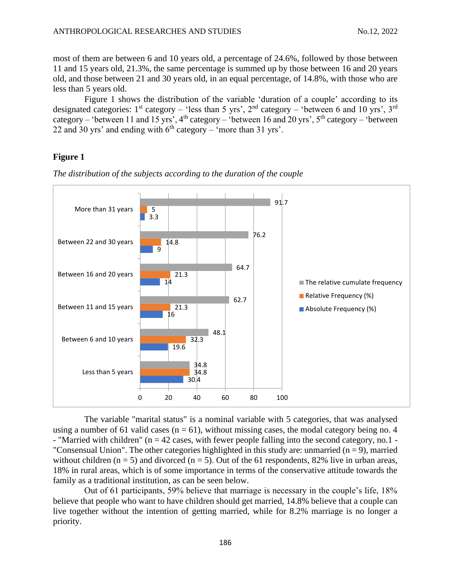most of them are between 6 and 10 years old, a percentage of 24.6%, followed by those between 11 and 15 years old, 21.3%, the same percentage is summed up by those between 16 and 20 years old, and those between 21 and 30 years old, in an equal percentage, of 14.8%, with those who are less than 5 years old.

Figure 1 shows the distribution of the variable 'duration of a couple' according to its designated categories:  $1<sup>st</sup>$  category – 'less than 5 yrs',  $2<sup>nd</sup>$  category – 'between 6 and 10 yrs',  $3<sup>rd</sup>$ category – 'between 11 and 15 yrs', 4<sup>th</sup> category – 'between 16 and 20 yrs',  $5<sup>th</sup>$  category – 'between 22 and 30 yrs' and ending with  $6<sup>th</sup>$  category – 'more than 31 yrs'.

## **Figure 1**



*The distribution of the subjects according to the duration of the couple*

The variable "marital status" is a nominal variable with 5 categories, that was analysed using a number of 61 valid cases  $(n = 61)$ , without missing cases, the modal category being no. 4 - "Married with children" (n = 42 cases, with fewer people falling into the second category, no.1 - "Consensual Union". The other categories highlighted in this study are: unmarried  $(n = 9)$ , married without children ( $n = 5$ ) and divorced ( $n = 5$ ). Out of the 61 respondents, 82% live in urban areas, 18% in rural areas, which is of some importance in terms of the conservative attitude towards the family as a traditional institution, as can be seen below.

Out of 61 participants, 59% believe that marriage is necessary in the couple's life, 18% believe that people who want to have children should get married, 14.8% believe that a couple can live together without the intention of getting married, while for 8.2% marriage is no longer a priority.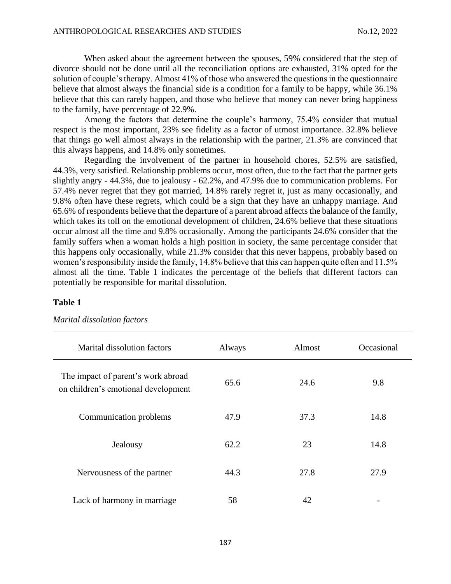When asked about the agreement between the spouses, 59% considered that the step of divorce should not be done until all the reconciliation options are exhausted, 31% opted for the solution of couple's therapy. Almost 41% of those who answered the questions in the questionnaire believe that almost always the financial side is a condition for a family to be happy, while 36.1% believe that this can rarely happen, and those who believe that money can never bring happiness to the family, have percentage of 22.9%.

Among the factors that determine the couple's harmony, 75.4% consider that mutual respect is the most important, 23% see fidelity as a factor of utmost importance. 32.8% believe that things go well almost always in the relationship with the partner, 21.3% are convinced that this always happens, and 14.8% only sometimes.

Regarding the involvement of the partner in household chores, 52.5% are satisfied, 44.3%, very satisfied. Relationship problems occur, most often, due to the fact that the partner gets slightly angry - 44.3%, due to jealousy - 62.2%, and 47.9% due to communication problems. For 57.4% never regret that they got married, 14.8% rarely regret it, just as many occasionally, and 9.8% often have these regrets, which could be a sign that they have an unhappy marriage. And 65.6% of respondents believe that the departure of a parent abroad affects the balance of the family, which takes its toll on the emotional development of children, 24.6% believe that these situations occur almost all the time and 9.8% occasionally. Among the participants 24.6% consider that the family suffers when a woman holds a high position in society, the same percentage consider that this happens only occasionally, while 21.3% consider that this never happens, probably based on women's responsibility inside the family, 14.8% believe that this can happen quite often and 11.5% almost all the time. Table 1 indicates the percentage of the beliefs that different factors can potentially be responsible for marital dissolution.

### **Table 1**

| Marital dissolution factors                                               | Always | Almost | Occasional |
|---------------------------------------------------------------------------|--------|--------|------------|
| The impact of parent's work abroad<br>on children's emotional development | 65.6   | 24.6   | 9.8        |
| Communication problems                                                    | 47.9   | 37.3   | 14.8       |
| Jealousy                                                                  | 62.2   | 23     | 14.8       |
| Nervousness of the partner                                                | 44.3   | 27.8   | 27.9       |
| Lack of harmony in marriage                                               | 58     | 42     |            |

*Marital dissolution factors*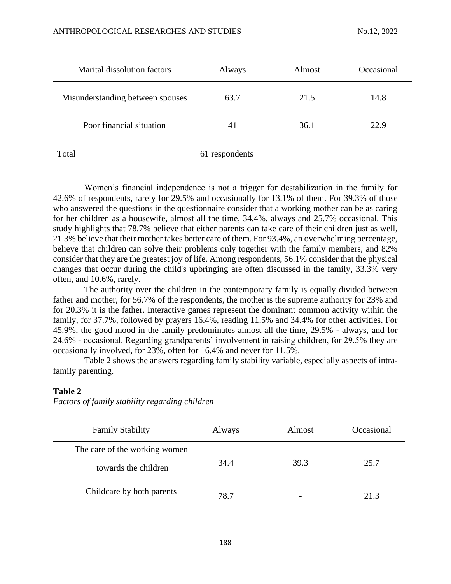| <b>Marital dissolution factors</b> | Always         | Almost | Occasional |
|------------------------------------|----------------|--------|------------|
| Misunderstanding between spouses   | 63.7           | 21.5   | 14.8       |
| Poor financial situation           | 41             | 36.1   | 22.9       |
| Total                              | 61 respondents |        |            |

Women's financial independence is not a trigger for destabilization in the family for 42.6% of respondents, rarely for 29.5% and occasionally for 13.1% of them. For 39.3% of those who answered the questions in the questionnaire consider that a working mother can be as caring for her children as a housewife, almost all the time, 34.4%, always and 25.7% occasional. This study highlights that 78.7% believe that either parents can take care of their children just as well, 21.3% believe that their mother takes better care of them. For 93.4%, an overwhelming percentage, believe that children can solve their problems only together with the family members, and 82% consider that they are the greatest joy of life. Among respondents, 56.1% consider that the physical changes that occur during the child's upbringing are often discussed in the family, 33.3% very often, and 10.6%, rarely.

The authority over the children in the contemporary family is equally divided between father and mother, for 56.7% of the respondents, the mother is the supreme authority for 23% and for 20.3% it is the father. Interactive games represent the dominant common activity within the family, for 37.7%, followed by prayers 16.4%, reading 11.5% and 34.4% for other activities. For 45.9%, the good mood in the family predominates almost all the time, 29.5% - always, and for 24.6% - occasional. Regarding grandparents' involvement in raising children, for 29.5% they are occasionally involved, for 23%, often for 16.4% and never for 11.5%.

Table 2 shows the answers regarding family stability variable, especially aspects of intrafamily parenting.

| <b>Family Stability</b>       | Always | Almost                   | Occasional |
|-------------------------------|--------|--------------------------|------------|
| The care of the working women |        |                          |            |
| towards the children          | 34.4   | 39.3                     | 25.7       |
| Childcare by both parents     | 78.7   | $\overline{\phantom{0}}$ | 21.3       |

# **Table 2**

| Factors of family stability regarding children |  |  |  |
|------------------------------------------------|--|--|--|
|------------------------------------------------|--|--|--|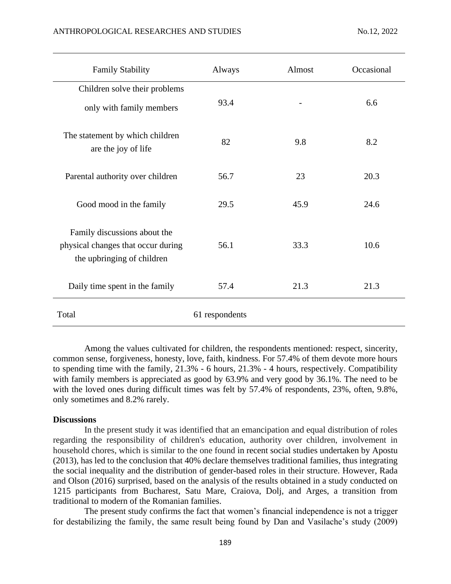| <b>Family Stability</b>                                                                          | Always         | Almost | Occasional |
|--------------------------------------------------------------------------------------------------|----------------|--------|------------|
| Children solve their problems<br>only with family members                                        | 93.4           |        | 6.6        |
| The statement by which children<br>are the joy of life                                           | 82             | 9.8    | 8.2        |
| Parental authority over children                                                                 | 56.7           | 23     | 20.3       |
| Good mood in the family                                                                          | 29.5           | 45.9   | 24.6       |
| Family discussions about the<br>physical changes that occur during<br>the upbringing of children | 56.1           | 33.3   | 10.6       |
| Daily time spent in the family                                                                   | 57.4           | 21.3   | 21.3       |
| Total                                                                                            | 61 respondents |        |            |

Among the values cultivated for children, the respondents mentioned: respect, sincerity, common sense, forgiveness, honesty, love, faith, kindness. For 57.4% of them devote more hours to spending time with the family, 21.3% - 6 hours, 21.3% - 4 hours, respectively. Compatibility with family members is appreciated as good by 63.9% and very good by 36.1%. The need to be with the loved ones during difficult times was felt by 57.4% of respondents, 23%, often, 9.8%, only sometimes and 8.2% rarely.

#### **Discussions**

In the present study it was identified that an emancipation and equal distribution of roles regarding the responsibility of children's education, authority over children, involvement in household chores, which is similar to the one found in recent social studies undertaken by Apostu (2013), has led to the conclusion that 40% declare themselves traditional families, thus integrating the social inequality and the distribution of gender-based roles in their structure. However, Rada and Olson (2016) surprised, based on the analysis of the results obtained in a study conducted on 1215 participants from Bucharest, Satu Mare, Craiova, Dolj, and Arges, a transition from traditional to modern of the Romanian families.

The present study confirms the fact that women's financial independence is not a trigger for destabilizing the family, the same result being found by Dan and Vasilache's study (2009)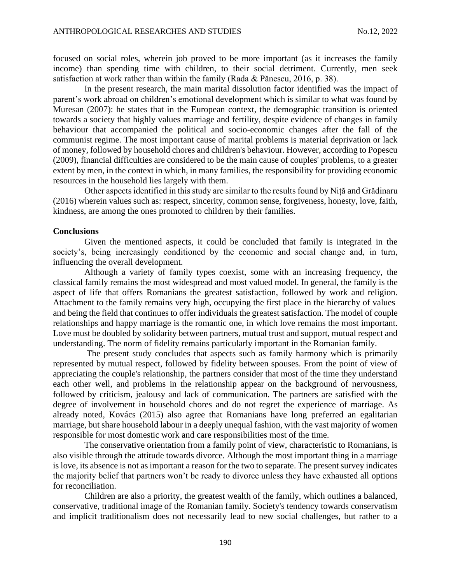focused on social roles, wherein job proved to be more important (as it increases the family income) than spending time with children, to their social detriment. Currently, men seek satisfaction at work rather than within the family (Rada & Pănescu, 2016, p. 38).

In the present research, the main marital dissolution factor identified was the impact of parent's work abroad on children's emotional development which is similar to what was found by Muresan (2007): he states that in the European context, the demographic transition is oriented towards a society that highly values marriage and fertility, despite evidence of changes in family behaviour that accompanied the political and socio-economic changes after the fall of the communist regime. The most important cause of marital problems is material deprivation or lack of money, followed by household chores and children's behaviour. However, according to Popescu (2009), financial difficulties are considered to be the main cause of couples' problems, to a greater extent by men, in the context in which, in many families, the responsibility for providing economic resources in the household lies largely with them.

Other aspects identified in this study are similar to the results found by Niță and Grădinaru (2016) wherein values such as: respect, sincerity, common sense, forgiveness, honesty, love, faith, kindness, are among the ones promoted to children by their families.

### **Conclusions**

Given the mentioned aspects, it could be concluded that family is integrated in the society's, being increasingly conditioned by the economic and social change and, in turn, influencing the overall development.

Although a variety of family types coexist, some with an increasing frequency, the classical family remains the most widespread and most valued model. In general, the family is the aspect of life that offers Romanians the greatest satisfaction, followed by work and religion. Attachment to the family remains very high, occupying the first place in the hierarchy of values and being the field that continues to offer individuals the greatest satisfaction. The model of couple relationships and happy marriage is the romantic one, in which love remains the most important. Love must be doubled by solidarity between partners, mutual trust and support, mutual respect and understanding. The norm of fidelity remains particularly important in the Romanian family.

The present study concludes that aspects such as family harmony which is primarily represented by mutual respect, followed by fidelity between spouses. From the point of view of appreciating the couple's relationship, the partners consider that most of the time they understand each other well, and problems in the relationship appear on the background of nervousness, followed by criticism, jealousy and lack of communication. The partners are satisfied with the degree of involvement in household chores and do not regret the experience of marriage. As already noted, Kovács (2015) also agree that Romanians have long preferred an egalitarian marriage, but share household labour in a deeply unequal fashion, with the vast majority of women responsible for most domestic work and care responsibilities most of the time.

The conservative orientation from a family point of view, characteristic to Romanians, is also visible through the attitude towards divorce. Although the most important thing in a marriage is love, its absence is not as important a reason for the two to separate. The present survey indicates the majority belief that partners won't be ready to divorce unless they have exhausted all options for reconciliation.

Children are also a priority, the greatest wealth of the family, which outlines a balanced, conservative, traditional image of the Romanian family. Society's tendency towards conservatism and implicit traditionalism does not necessarily lead to new social challenges, but rather to a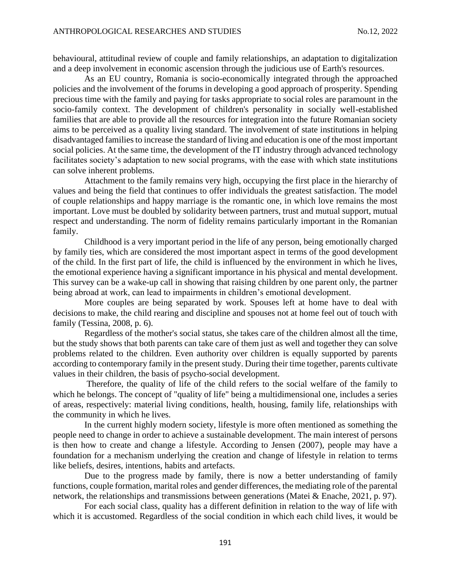behavioural, attitudinal review of couple and family relationships, an adaptation to digitalization and a deep involvement in economic ascension through the judicious use of Earth's resources.

As an EU country, Romania is socio-economically integrated through the approached policies and the involvement of the forums in developing a good approach of prosperity. Spending precious time with the family and paying for tasks appropriate to social roles are paramount in the socio-family context. The development of children's personality in socially well-established families that are able to provide all the resources for integration into the future Romanian society aims to be perceived as a quality living standard. The involvement of state institutions in helping disadvantaged families to increase the standard of living and education is one of the most important social policies. At the same time, the development of the IT industry through advanced technology facilitates society's adaptation to new social programs, with the ease with which state institutions can solve inherent problems.

Attachment to the family remains very high, occupying the first place in the hierarchy of values and being the field that continues to offer individuals the greatest satisfaction. The model of couple relationships and happy marriage is the romantic one, in which love remains the most important. Love must be doubled by solidarity between partners, trust and mutual support, mutual respect and understanding. The norm of fidelity remains particularly important in the Romanian family.

Childhood is a very important period in the life of any person, being emotionally charged by family ties, which are considered the most important aspect in terms of the good development of the child. In the first part of life, the child is influenced by the environment in which he lives, the emotional experience having a significant importance in his physical and mental development. This survey can be a wake-up call in showing that raising children by one parent only, the partner being abroad at work, can lead to impairments in children's emotional development.

More couples are being separated by work. Spouses left at home have to deal with decisions to make, the child rearing and discipline and spouses not at home feel out of touch with family (Tessina, 2008, p. 6).

Regardless of the mother's social status, she takes care of the children almost all the time, but the study shows that both parents can take care of them just as well and together they can solve problems related to the children. Even authority over children is equally supported by parents according to contemporary family in the present study. During their time together, parents cultivate values in their children, the basis of psycho-social development.

Therefore, the quality of life of the child refers to the social welfare of the family to which he belongs. The concept of "quality of life" being a multidimensional one, includes a series of areas, respectively: material living conditions, health, housing, family life, relationships with the community in which he lives.

In the current highly modern society, lifestyle is more often mentioned as something the people need to change in order to achieve a sustainable development. The main interest of persons is then how to create and change a lifestyle. According to Jensen (2007), people may have a foundation for a mechanism underlying the creation and change of lifestyle in relation to terms like beliefs, desires, intentions, habits and artefacts.

Due to the progress made by family, there is now a better understanding of family functions, couple formation, marital roles and gender differences, the mediating role of the parental network, the relationships and transmissions between generations (Matei & Enache, 2021, p. 97).

For each social class, quality has a different definition in relation to the way of life with which it is accustomed. Regardless of the social condition in which each child lives, it would be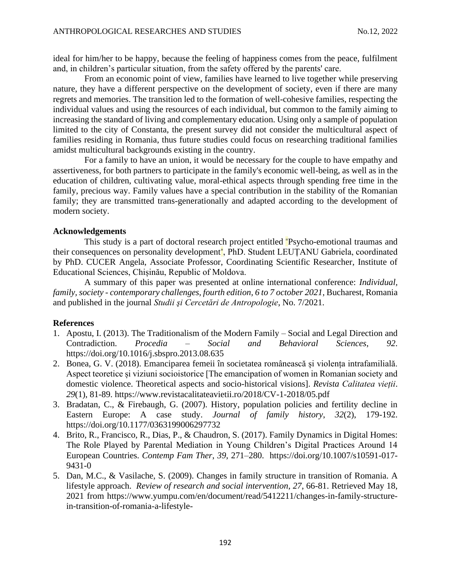ideal for him/her to be happy, because the feeling of happiness comes from the peace, fulfilment and, in children's particular situation, from the safety offered by the parents' care.

From an economic point of view, families have learned to live together while preserving nature, they have a different perspective on the development of society, even if there are many regrets and memories. The transition led to the formation of well-cohesive families, respecting the individual values and using the resources of each individual, but common to the family aiming to increasing the standard of living and complementary education. Using only a sample of population limited to the city of Constanta, the present survey did not consider the multicultural aspect of families residing in Romania, thus future studies could focus on researching traditional families amidst multicultural backgrounds existing in the country.

For a family to have an union, it would be necessary for the couple to have empathy and assertiveness, for both partners to participate in the family's economic well-being, as well as in the education of children, cultivating value, moral-ethical aspects through spending free time in the family, precious way. Family values have a special contribution in the stability of the Romanian family; they are transmitted trans-generationally and adapted according to the development of modern society.

## **Acknowledgements**

This study is a part of doctoral research project entitled "Psycho-emotional traumas and their consequences on personality development", PhD. Student LEUȚANU Gabriela, coordinated by PhD. CUCER Angela, Associate Professor, Coordinating Scientific Researcher, Institute of Educational Sciences, Chișinău, Republic of Moldova.

A summary of this paper was presented at online international conference: *Individual, family, society - contemporary challenges, fourth edition, 6 to 7 october 2021*, Bucharest, Romania and published in the journal *Studii şi Cercetări de Antropologie*, No. 7/2021.

#### **References**

- 1. Apostu, I. (2013). The Traditionalism of the Modern Family Social and Legal Direction and Contradiction. *Procedia – Social and Behavioral Sciences*, *92*. [https://doi.org/10.1016/j.sbspro.2013.08.635](https://doi.org/10.7202/011103ar)
- 2. Bonea, G. V. (2018). Emanciparea femeii în societatea românească și violența intrafamilială. Aspect teoretice și viziuni socioistorice [The emancipation of women in Romanian society and domestic violence. Theoretical aspects and socio-historical visions]. *Revista Calitatea vieții*. *29*(1), 81-89.<https://www.revistacalitateavietii.ro/2018/CV-1-2018/05.pdf>
- 3. Bradatan, C., & Firebaugh, G. (2007). History, population policies and fertility decline in Eastern Europe: A case study. *Journal of family history*, *32*(2), 179-192. <https://doi.org/10.1177/0363199006297732>
- 4. Brito, R., Francisco, R., Dias, P., & Chaudron, S. (2017). Family Dynamics in Digital Homes: The Role Played by Parental Mediation in Young Children's Digital Practices Around 14 European Countries. *Contemp Fam Ther*, *39*, 271–280. [https://doi.org/10.1007/s10591-017-](https://doi.org/10.1007/s10591-017-9431-0) [9431-0](https://doi.org/10.1007/s10591-017-9431-0)
- 5. Dan, M.C., & Vasilache, S. (2009). Changes in family structure in transition of Romania. A lifestyle approach. *Review of research and social intervention*, *27*, 66-81. Retrieved May 18, 2021 from [https://www.yumpu.com/en/document/read/5412211/changes-in-family-structure](https://www.yumpu.com/en/document/read/5412211/changes-in-family-structure-in-transition-of-romania-a-lifestyle-)[in-transition-of-romania-a-lifestyle-](https://www.yumpu.com/en/document/read/5412211/changes-in-family-structure-in-transition-of-romania-a-lifestyle-)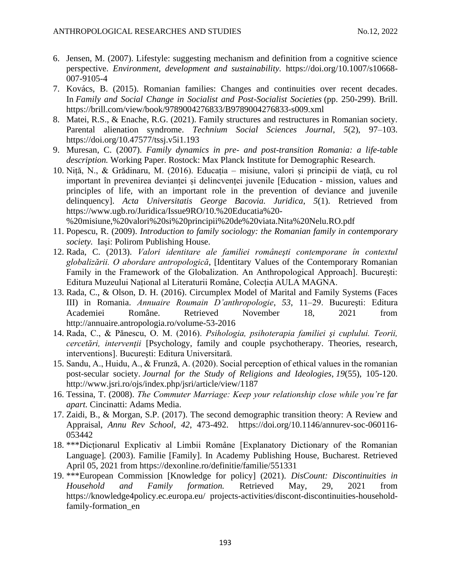- 6. Jensen, M. (2007). Lifestyle: suggesting mechanism and definition from a cognitive science perspective. *Environment, development and sustainability.* [https://doi.org/10.1007/s10668-](https://doi.org/10.1007/s10668-007-9105-4) [007-9105-4](https://doi.org/10.1007/s10668-007-9105-4)
- 7. Kovács, B. (2015). Romanian families: Changes and continuities over recent decades. In *Family and Social Change in Socialist and Post-Socialist Societies* (pp. 250-299). Brill. <https://brill.com/view/book/9789004276833/B9789004276833-s009.xml>
- 8. Matei, R.S., & Enache, R.G. (2021). Family structures and restructures in Romanian society. Parental alienation syndrome. *Technium Social Sciences Journal*, *5*(2), 97–103. <https://doi.org/10.47577/tssj.v5i1.193>
- 9. Muresan, C. (2007). *Family dynamics in pre- and post-transition Romania: a life-table description.* Working Paper. Rostock: Max Planck Institute for Demographic Research.
- 10. Niță, N., & Grădinaru, M. (2016). Educația misiune, valori și principii de viață, cu rol important în prevenirea devianței și delincvenței juvenile [Education - mission, values and principles of life, with an important role in the prevention of deviance and juvenile delinquency]. *Acta Universitatis George Bacovia. Juridica*, *5*(1). Retrieved from [https://www.ugb.ro/Juridica/Issue9RO/10.%20Educatia%20-](https://www.ugb.ro/Juridica/Issue9RO/10.%20Educatia%20-%20misiune,%20valori%20si%20principii%20de%20viata.Nita%20Nelu.RO.pdf)

[%20misiune,%20valori%20si%20principii%20de%20viata.Nita%20Nelu.RO.pdf](https://www.ugb.ro/Juridica/Issue9RO/10.%20Educatia%20-%20misiune,%20valori%20si%20principii%20de%20viata.Nita%20Nelu.RO.pdf)

- 11. Popescu, R. (2009). *Introduction to family sociology: the Romanian family in contemporary society.* Iași: Polirom Publishing House.
- 12. Rada, C. (2013). *Valori identitare ale familiei româneşti contemporane în contextul globalizării. O abordare antropologică*, [Identitary Values of the Contemporary Romanian Family in the Framework of the Globalization. An Anthropological Approach]. Bucureşti: Editura Muzeului Național al Literaturii Române, Colecția AULA MAGNA.
- 13. Rada, C., & Olson, D. H. (2016). Circumplex Model of Marital and Family Systems (Faces III) in Romania. *Annuaire Roumain D'anthropologie*, *53*, 11–29. București: Editura Academiei Române. Retrieved November 18, 2021 from <http://annuaire.antropologia.ro/volume-53-2016>
- 14. Rada, C., & Pănescu, O. M. (2016). *Psihologia, psihoterapia familiei şi cuplului. Teorii, cercetări, intervenţii* [Psychology, family and couple psychotherapy. Theories, research, interventions]. București: Editura Universitară.
- 15. Sandu, A., Huidu, A., & Frunză, A. (2020). Social perception of ethical values in the romanian post-secular society. *Journal for the Study of Religions and Ideologies*, *19*(55), 105-120. <http://www.jsri.ro/ojs/index.php/jsri/article/view/1187>
- 16. Tessina, T. (2008). *The Commuter Marriage: Keep your relationship close while you're far apart.* Cincinatti: Adams Media.
- 17. Zaidi, B., & Morgan, S.P. (2017). The second demographic transition theory: A Review and Appraisal, *Annu Rev School*, *42*, 473-492. [https://doi.org/10.1146/annurev-soc-060116-](https://doi.org/10.1146/annurev-soc-060116-053442) [053442](https://doi.org/10.1146/annurev-soc-060116-053442)
- 18. \*\*\*Dicționarul Explicativ al Limbii Române [Explanatory Dictionary of the Romanian Language]*.* (2003). Familie [Family]. In Academy Publishing House, Bucharest. Retrieved April 05, 2021 from<https://dexonline.ro/definitie/familie/551331>
- 19. \*\*\*European Commission [Knowledge for policy] (2021). *DisCount: Discontinuities in Household and Family formation.* Retrieved May, 29, 2021 from [https://knowledge4policy.ec.europa.eu/ projects-activities/discont-discontinuities-household](https://knowledge4policy.ec.europa.eu/%20projects-activities/discont-discontinuities-household-family-formation_en)[family-formation\\_en](https://knowledge4policy.ec.europa.eu/%20projects-activities/discont-discontinuities-household-family-formation_en)